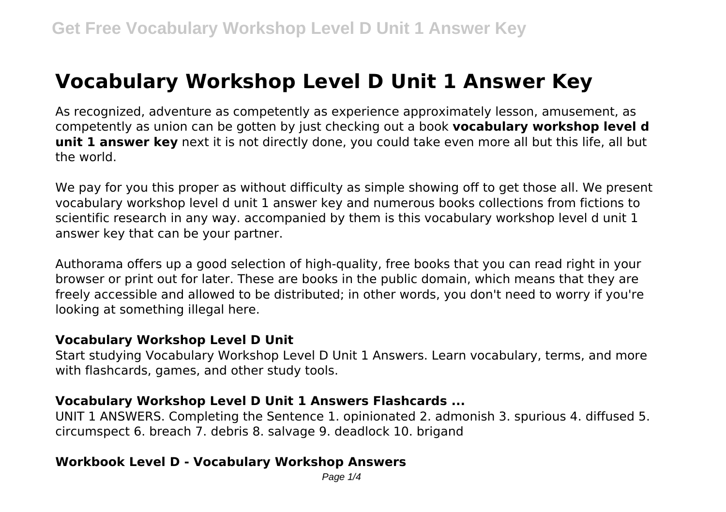# **Vocabulary Workshop Level D Unit 1 Answer Key**

As recognized, adventure as competently as experience approximately lesson, amusement, as competently as union can be gotten by just checking out a book **vocabulary workshop level d unit 1 answer key** next it is not directly done, you could take even more all but this life, all but the world.

We pay for you this proper as without difficulty as simple showing off to get those all. We present vocabulary workshop level d unit 1 answer key and numerous books collections from fictions to scientific research in any way. accompanied by them is this vocabulary workshop level d unit 1 answer key that can be your partner.

Authorama offers up a good selection of high-quality, free books that you can read right in your browser or print out for later. These are books in the public domain, which means that they are freely accessible and allowed to be distributed; in other words, you don't need to worry if you're looking at something illegal here.

#### **Vocabulary Workshop Level D Unit**

Start studying Vocabulary Workshop Level D Unit 1 Answers. Learn vocabulary, terms, and more with flashcards, games, and other study tools.

#### **Vocabulary Workshop Level D Unit 1 Answers Flashcards ...**

UNIT 1 ANSWERS. Completing the Sentence 1. opinionated 2. admonish 3. spurious 4. diffused 5. circumspect 6. breach 7. debris 8. salvage 9. deadlock 10. brigand

# **Workbook Level D - Vocabulary Workshop Answers**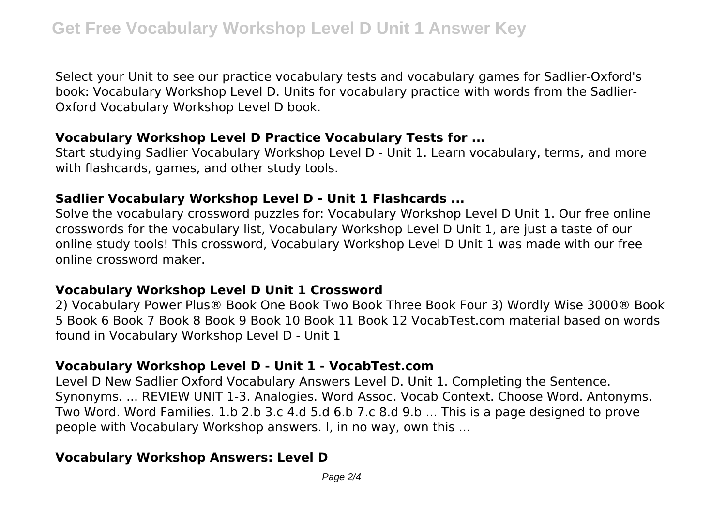Select your Unit to see our practice vocabulary tests and vocabulary games for Sadlier-Oxford's book: Vocabulary Workshop Level D. Units for vocabulary practice with words from the Sadlier-Oxford Vocabulary Workshop Level D book.

#### **Vocabulary Workshop Level D Practice Vocabulary Tests for ...**

Start studying Sadlier Vocabulary Workshop Level D - Unit 1. Learn vocabulary, terms, and more with flashcards, games, and other study tools.

#### **Sadlier Vocabulary Workshop Level D - Unit 1 Flashcards ...**

Solve the vocabulary crossword puzzles for: Vocabulary Workshop Level D Unit 1. Our free online crosswords for the vocabulary list, Vocabulary Workshop Level D Unit 1, are just a taste of our online study tools! This crossword, Vocabulary Workshop Level D Unit 1 was made with our free online crossword maker.

# **Vocabulary Workshop Level D Unit 1 Crossword**

2) Vocabulary Power Plus® Book One Book Two Book Three Book Four 3) Wordly Wise 3000® Book 5 Book 6 Book 7 Book 8 Book 9 Book 10 Book 11 Book 12 VocabTest.com material based on words found in Vocabulary Workshop Level D - Unit 1

# **Vocabulary Workshop Level D - Unit 1 - VocabTest.com**

Level D New Sadlier Oxford Vocabulary Answers Level D. Unit 1. Completing the Sentence. Synonyms. ... REVIEW UNIT 1-3. Analogies. Word Assoc. Vocab Context. Choose Word. Antonyms. Two Word. Word Families. 1.b 2.b 3.c 4.d 5.d 6.b 7.c 8.d 9.b ... This is a page designed to prove people with Vocabulary Workshop answers. I, in no way, own this ...

# **Vocabulary Workshop Answers: Level D**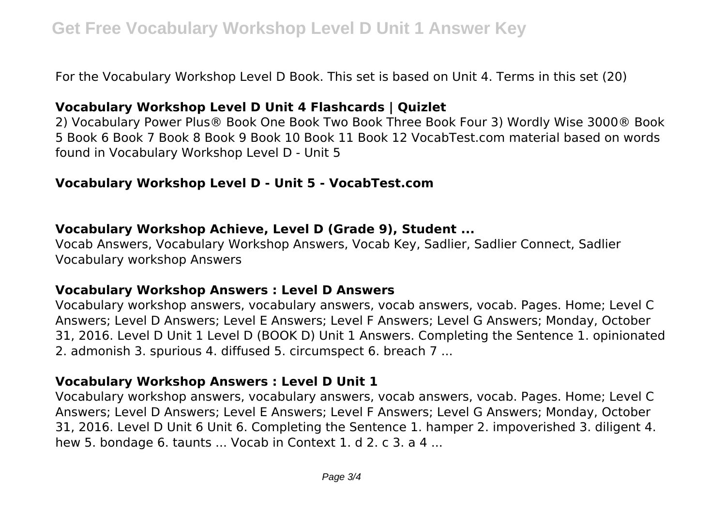For the Vocabulary Workshop Level D Book. This set is based on Unit 4. Terms in this set (20)

#### **Vocabulary Workshop Level D Unit 4 Flashcards | Quizlet**

2) Vocabulary Power Plus® Book One Book Two Book Three Book Four 3) Wordly Wise 3000® Book 5 Book 6 Book 7 Book 8 Book 9 Book 10 Book 11 Book 12 VocabTest.com material based on words found in Vocabulary Workshop Level D - Unit 5

#### **Vocabulary Workshop Level D - Unit 5 - VocabTest.com**

#### **Vocabulary Workshop Achieve, Level D (Grade 9), Student ...**

Vocab Answers, Vocabulary Workshop Answers, Vocab Key, Sadlier, Sadlier Connect, Sadlier Vocabulary workshop Answers

#### **Vocabulary Workshop Answers : Level D Answers**

Vocabulary workshop answers, vocabulary answers, vocab answers, vocab. Pages. Home; Level C Answers; Level D Answers; Level E Answers; Level F Answers; Level G Answers; Monday, October 31, 2016. Level D Unit 1 Level D (BOOK D) Unit 1 Answers. Completing the Sentence 1. opinionated 2. admonish 3. spurious 4. diffused 5. circumspect 6. breach 7 ...

#### **Vocabulary Workshop Answers : Level D Unit 1**

Vocabulary workshop answers, vocabulary answers, vocab answers, vocab. Pages. Home; Level C Answers; Level D Answers; Level E Answers; Level F Answers; Level G Answers; Monday, October 31, 2016. Level D Unit 6 Unit 6. Completing the Sentence 1. hamper 2. impoverished 3. diligent 4. hew 5. bondage 6. taunts ... Vocab in Context 1. d 2. c 3. a 4 ...